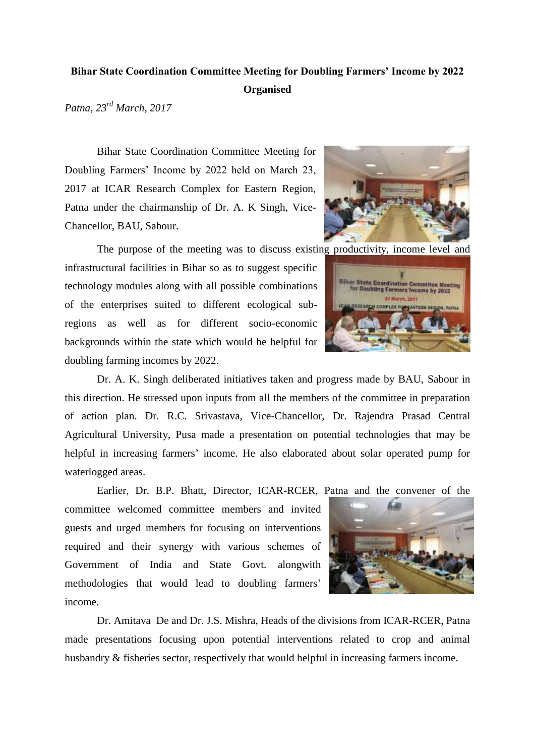## **Bihar State Coordination Committee Meeting for Doubling Farmers' Income by 2022 Organised**

*Patna, 23rd March, 2017*

Bihar State Coordination Committee Meeting for Doubling Farmers' Income by 2022 held on March 23, 2017 at ICAR Research Complex for Eastern Region, Patna under the chairmanship of Dr. A. K Singh, Vice-Chancellor, BAU, Sabour.



The purpose of the meeting was to discuss existing productivity, income level and infrastructural facilities in Bihar so as to suggest specific technology modules along with all possible combinations of the enterprises suited to different ecological subregions as well as for different socio-economic backgrounds within the state which would be helpful for doubling farming incomes by 2022.



Dr. A. K. Singh deliberated initiatives taken and progress made by BAU, Sabour in this direction. He stressed upon inputs from all the members of the committee in preparation of action plan. Dr. R.C. Srivastava, Vice-Chancellor, Dr. Rajendra Prasad Central Agricultural University, Pusa made a presentation on potential technologies that may be helpful in increasing farmers' income. He also elaborated about solar operated pump for waterlogged areas.

Earlier, Dr. B.P. Bhatt, Director, ICAR-RCER, Patna and the convener of the

committee welcomed committee members and invited guests and urged members for focusing on interventions required and their synergy with various schemes of Government of India and State Govt. alongwith methodologies that would lead to doubling farmers' income.



Dr. Amitava De and Dr. J.S. Mishra, Heads of the divisions from ICAR-RCER, Patna made presentations focusing upon potential interventions related to crop and animal husbandry & fisheries sector, respectively that would helpful in increasing farmers income.